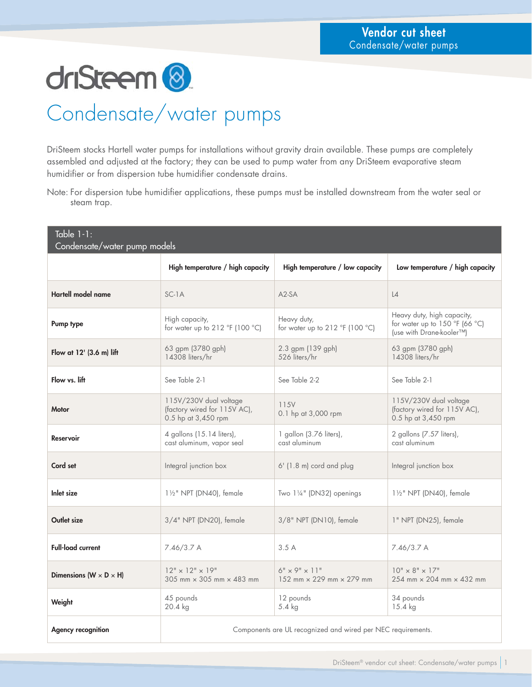driSteem<sup>8</sup>

## Condensate/water pumps

DriSteem stocks Hartell water pumps for installations without gravity drain available. These pumps are completely assembled and adjusted at the factory; they can be used to pump water from any DriSteem evaporative steam humidifier or from dispersion tube humidifier condensate drains.

Note: For dispersion tube humidifier applications, these pumps must be installed downstream from the water seal or steam trap.

| Table $1-1$ :<br>Condensate/water pump models |                                                                               |                                                       |                                                                                          |  |  |  |  |  |  |
|-----------------------------------------------|-------------------------------------------------------------------------------|-------------------------------------------------------|------------------------------------------------------------------------------------------|--|--|--|--|--|--|
|                                               | High temperature / high capacity                                              | High temperature / low capacity                       | Low temperature / high capacity                                                          |  |  |  |  |  |  |
| Hartell model name                            | $SC-1A$                                                                       | $A2-SA$                                               | $\lfloor 4 \rfloor$                                                                      |  |  |  |  |  |  |
| Pump type                                     | High capacity,<br>for water up to 212 °F (100 °C)                             | Heavy duty,<br>for water up to 212 °F (100 °C)        | Heavy duty, high capacity,<br>for water up to 150 °F (66 °C)<br>(use with Drane-kooler™) |  |  |  |  |  |  |
| Flow at 12' (3.6 m) lift                      | 63 gpm (3780 gph)<br>14308 liters/hr                                          | 2.3 gpm (139 gph)<br>526 liters/hr                    | 63 gpm (3780 gph)<br>14308 liters/hr                                                     |  |  |  |  |  |  |
| Flow vs. lift                                 | See Table 2-1                                                                 | See Table 2-2                                         | See Table 2-1                                                                            |  |  |  |  |  |  |
| <b>Motor</b>                                  | 115V/230V dual voltage<br>(factory wired for 115V AC),<br>0.5 hp at 3,450 rpm | 115V<br>0.1 hp at 3,000 rpm                           | 115V/230V dual voltage<br>(factory wired for 115V AC),<br>0.5 hp at 3,450 rpm            |  |  |  |  |  |  |
| <b>Reservoir</b>                              | 4 gallons (15.14 liters),<br>cast aluminum, vapor seal                        | 1 gallon (3.76 liters),<br>cast aluminum              | 2 gallons (7.57 liters),<br>cast aluminum                                                |  |  |  |  |  |  |
| Cord set                                      | Integral junction box                                                         | 6' (1.8 m) cord and plug                              | Integral junction box                                                                    |  |  |  |  |  |  |
| Inlet size                                    | 11/2" NPT (DN40), female                                                      | Two 11/4" (DN32) openings                             | 11/2" NPT (DN40), female                                                                 |  |  |  |  |  |  |
| Outlet size                                   | 3/4" NPT (DN20), female                                                       | 3/8" NPT (DN10), female                               | 1" NPT (DN25), female                                                                    |  |  |  |  |  |  |
| <b>Full-load current</b>                      | 7.46/3.7A                                                                     | 3.5A                                                  | 7.46/3.7 A                                                                               |  |  |  |  |  |  |
| Dimensions ( $W \times D \times H$ )          | $12" \times 12" \times 19"$<br>$305$ mm $\times$ 305 mm $\times$ 483 mm       | $6" \times 9" \times 11"$<br>152 mm × 229 mm × 279 mm | $10" \times 8" \times 17"$<br>254 mm $\times$ 204 mm $\times$ 432 mm                     |  |  |  |  |  |  |
| Weight                                        | 45 pounds<br>20.4 kg                                                          | 12 pounds<br>5.4 kg                                   | 34 pounds<br>15.4 kg                                                                     |  |  |  |  |  |  |
| <b>Agency recognition</b>                     | Components are UL recognized and wired per NEC requirements.                  |                                                       |                                                                                          |  |  |  |  |  |  |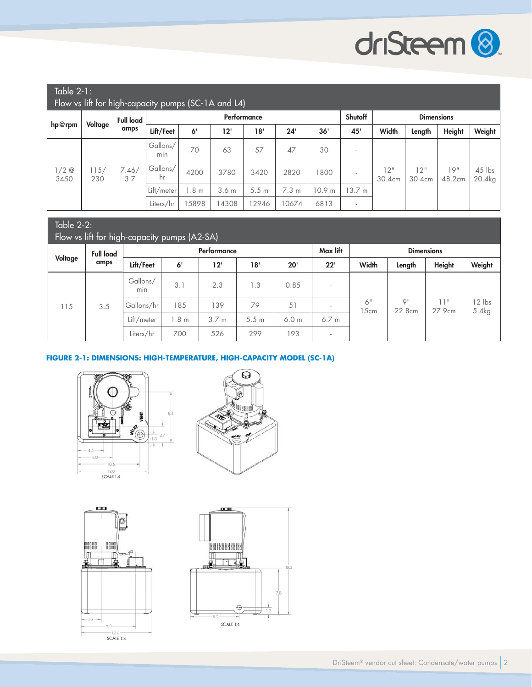

12 lbs

| Table $2-1$ :<br>Flow vs lift for high-capacity pumps (SC-1A and L4) |             |                          |                 |                 |                  |                  |         |                   |                          |               |               |               |                    |
|----------------------------------------------------------------------|-------------|--------------------------|-----------------|-----------------|------------------|------------------|---------|-------------------|--------------------------|---------------|---------------|---------------|--------------------|
| hp@rpm                                                               | Voltage     | <b>Full load</b><br>amps | Performance     |                 |                  |                  | Shutoff | <b>Dimensions</b> |                          |               |               |               |                    |
|                                                                      |             |                          | Lift/Feet       | 6 <sup>1</sup>  | 12'              | 18'              | 24'     | 36'               | 45'                      | Width         | Length        | <b>Height</b> | Weight             |
| $1/2$ @<br>3450                                                      | 115/<br>230 | 7.46/<br>3.7             | Gallons/<br>min | 70              | 63               | 57               | 47      | 30                |                          | 12"<br>30.4cm | 12"<br>30.4cm | 19"<br>48.2cm | $45$ lbs<br>20.4kg |
|                                                                      |             |                          | Gallons/<br>hr  | 4200            | 3780             | 3420             | 2820    | 1800              | $\overline{\phantom{a}}$ |               |               |               |                    |
|                                                                      |             |                          | Lift/meter      | .8 <sub>m</sub> | 3.6 <sub>m</sub> | 5.5 <sub>m</sub> | 7.3 m   | 10.9 m            | 13.7 m                   |               |               |               |                    |
|                                                                      |             |                          | Liters/hr       | 5898            | 4308             | 12946            | 10674   | 6813              | $\overline{\phantom{a}}$ |               |               |               |                    |

#### Table 2-2: Flow vs lift for high-capacity pumps (A2-SA) **Voltage Full load amps** Performance Max lift Max lift Dimensions **Lift/Feet 6' 12' 18' 20' 22' Width Length Height Weight** 115 3.5 Gallons/ min 3.1 2.3 1.3 0.85 - 6" 15cm 9" 22.8cm 11" 27.9cm Gallons/hr 185 139 79 51 - 0 7<br>15cm 27.9cm 5.4kg  $Lift/meter$  1.8 m 3.7 m 5.5 m 6.0 m 6.7 m Liters/hr 700 526 299 193

### **FIGURE 2-1: DIMENSIONS: HIGH-TEMPERATURE, HIGH-CAPACITY MODEL (SC-1A)**







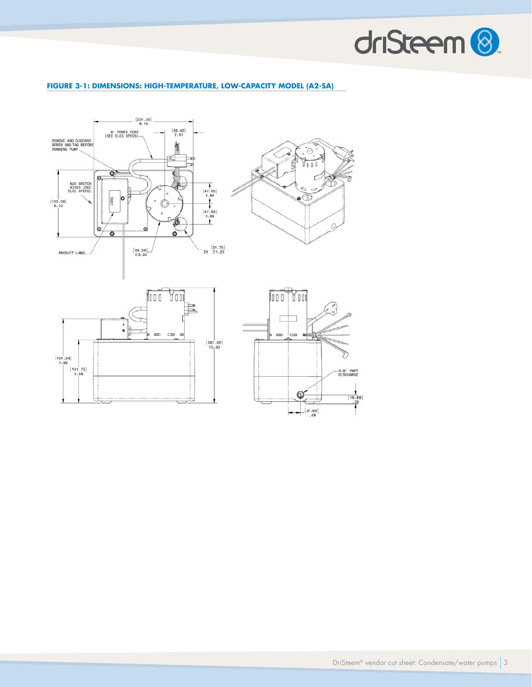

### **FIGURE 3-1: DIMENSIONS: HIGH-TEMPERATURE, LOW-CAPACITY MODEL (A2-SA)**